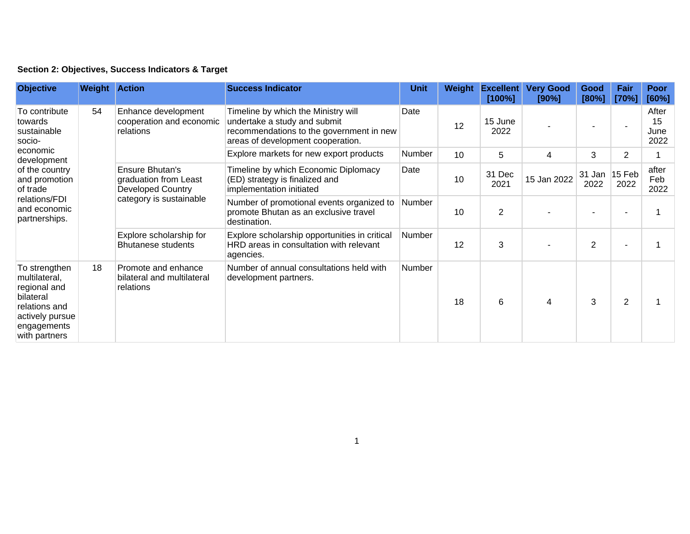## **Section 2: Objectives, Success Indicators & Target**

| <b>Objective</b>                                                                                                                                                              | <b>Weight Action</b> |                                                                                                 | <b>Success Indicator</b>                                                                                                                             | <b>Unit</b> | Weight | <b>Excellent</b><br>$[100\%]$ | <b>Very Good</b><br>[90%] | Good<br>[80%]         | Fair<br>[70%]  | Poor<br>[60%]               |
|-------------------------------------------------------------------------------------------------------------------------------------------------------------------------------|----------------------|-------------------------------------------------------------------------------------------------|------------------------------------------------------------------------------------------------------------------------------------------------------|-------------|--------|-------------------------------|---------------------------|-----------------------|----------------|-----------------------------|
| To contribute<br>towards<br>sustainable<br>socio-<br>economic<br>development<br>of the country<br>and promotion<br>of trade<br>relations/FDI<br>and economic<br>partnerships. | 54                   | Enhance development<br>cooperation and economic<br>relations                                    | Timeline by which the Ministry will<br>undertake a study and submit<br>recommendations to the government in new<br>areas of development cooperation. | Date        | 12     | 15 June<br>2022               |                           |                       |                | After<br>15<br>June<br>2022 |
|                                                                                                                                                                               |                      |                                                                                                 | Explore markets for new export products                                                                                                              | Number      | 10     | 5                             | 4                         | 3                     | $\overline{2}$ |                             |
|                                                                                                                                                                               |                      | Ensure Bhutan's<br>graduation from Least<br><b>Developed Country</b><br>category is sustainable | Timeline by which Economic Diplomacy<br>(ED) strategy is finalized and<br>implementation initiated                                                   | Date        | 10     | 31 Dec<br>2021                | 15 Jan 2022               | 31 Jan 15 Feb<br>2022 | 2022           | after<br>Feb<br>2022        |
|                                                                                                                                                                               |                      |                                                                                                 | Number of promotional events organized to<br>promote Bhutan as an exclusive travel<br>destination.                                                   | Number      | 10     | $\overline{2}$                |                           |                       |                |                             |
|                                                                                                                                                                               |                      | Explore scholarship for<br><b>Bhutanese students</b>                                            | Explore scholarship opportunities in critical<br>HRD areas in consultation with relevant<br>agencies.                                                | Number      | 12     | 3                             |                           | $\overline{2}$        |                |                             |
| To strengthen<br>multilateral,<br>regional and<br>bilateral<br>relations and<br>actively pursue<br>engagements<br>with partners                                               | 18                   | Promote and enhance<br>bilateral and multilateral<br>relations                                  | Number of annual consultations held with<br>development partners.                                                                                    | Number      | 18     | 6                             | 4                         | 3                     | $\overline{2}$ |                             |